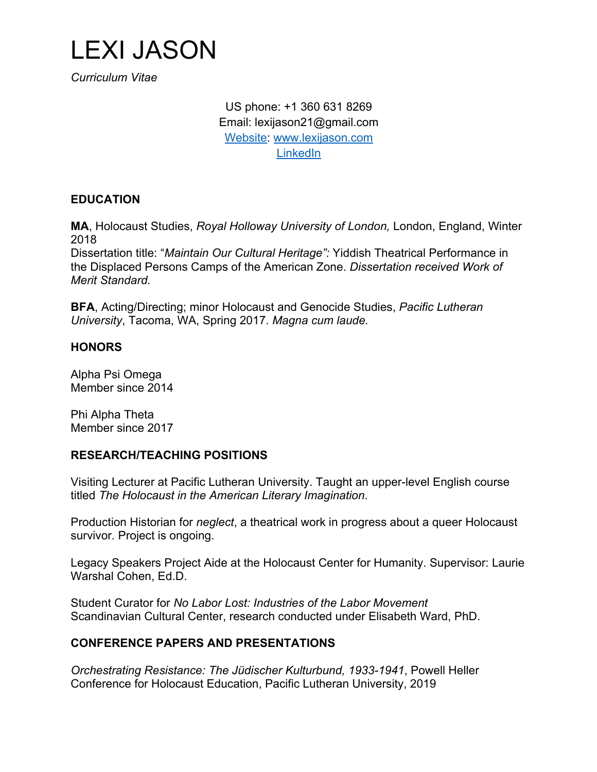

*Curriculum Vitae*

US phone: +1 360 631 8269 Email: lexijason21@gmail.com Website: www.lexijason.com LinkedIn

### **EDUCATION**

**MA**, Holocaust Studies, *Royal Holloway University of London,* London, England, Winter 2018

Dissertation title: "*Maintain Our Cultural Heritage":* Yiddish Theatrical Performance in the Displaced Persons Camps of the American Zone. *Dissertation received Work of Merit Standard.*

**BFA**, Acting/Directing; minor Holocaust and Genocide Studies, *Pacific Lutheran University*, Tacoma, WA, Spring 2017. *Magna cum laude.*

#### **HONORS**

Alpha Psi Omega Member since 2014

Phi Alpha Theta Member since 2017

#### **RESEARCH/TEACHING POSITIONS**

Visiting Lecturer at Pacific Lutheran University. Taught an upper-level English course titled *The Holocaust in the American Literary Imagination*.

Production Historian for *neglect*, a theatrical work in progress about a queer Holocaust survivor*.* Project is ongoing.

Legacy Speakers Project Aide at the Holocaust Center for Humanity. Supervisor: Laurie Warshal Cohen, Ed.D.

Student Curator for *No Labor Lost: Industries of the Labor Movement* Scandinavian Cultural Center, research conducted under Elisabeth Ward, PhD.

#### **CONFERENCE PAPERS AND PRESENTATIONS**

*Orchestrating Resistance: The Jüdischer Kulturbund, 1933-1941*, Powell Heller Conference for Holocaust Education, Pacific Lutheran University, 2019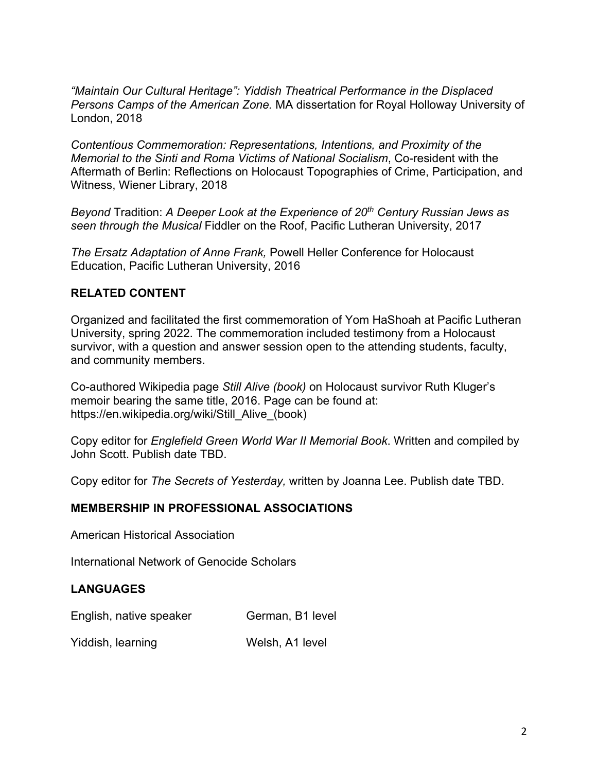*"Maintain Our Cultural Heritage": Yiddish Theatrical Performance in the Displaced Persons Camps of the American Zone.* MA dissertation for Royal Holloway University of London, 2018

*Contentious Commemoration: Representations, Intentions, and Proximity of the Memorial to the Sinti and Roma Victims of National Socialism*, Co-resident with the Aftermath of Berlin: Reflections on Holocaust Topographies of Crime, Participation, and Witness, Wiener Library, 2018

*Beyond* Tradition: *A Deeper Look at the Experience of 20th Century Russian Jews as seen through the Musical* Fiddler on the Roof, Pacific Lutheran University, 2017

*The Ersatz Adaptation of Anne Frank,* Powell Heller Conference for Holocaust Education, Pacific Lutheran University, 2016

## **RELATED CONTENT**

Organized and facilitated the first commemoration of Yom HaShoah at Pacific Lutheran University, spring 2022. The commemoration included testimony from a Holocaust survivor, with a question and answer session open to the attending students, faculty, and community members.

Co-authored Wikipedia page *Still Alive (book)* on Holocaust survivor Ruth Kluger's memoir bearing the same title, 2016. Page can be found at: https://en.wikipedia.org/wiki/Still\_Alive\_(book)

Copy editor for *Englefield Green World War II Memorial Book*. Written and compiled by John Scott. Publish date TBD.

Copy editor for *The Secrets of Yesterday,* written by Joanna Lee. Publish date TBD.

### **MEMBERSHIP IN PROFESSIONAL ASSOCIATIONS**

American Historical Association

International Network of Genocide Scholars

### **LANGUAGES**

English, native speaker German, B1 level

Yiddish, learning Welsh, A1 level